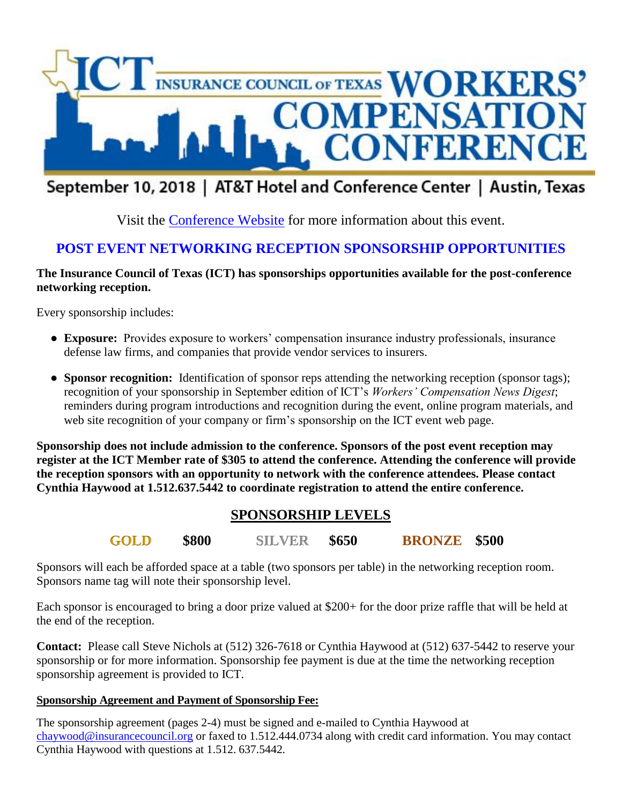

# September 10, 2018 | AT&T Hotel and Conference Center | Austin, Texas

Visit the [Conference Website](https://ict2018workcompconference.org/) for more information about this event.

# **POST EVENT NETWORKING RECEPTION SPONSORSHIP OPPORTUNITIES**

# **The Insurance Council of Texas (ICT) has sponsorships opportunities available for the post-conference networking reception.**

Every sponsorship includes:

- **Exposure:** Provides exposure to workers' compensation insurance industry professionals, insurance defense law firms, and companies that provide vendor services to insurers.
- **Sponsor recognition:** Identification of sponsor reps attending the networking reception (sponsor tags); recognition of your sponsorship in September edition of ICT's *Workers' Compensation News Digest*; reminders during program introductions and recognition during the event, online program materials, and web site recognition of your company or firm's sponsorship on the ICT event web page.

**Sponsorship does not include admission to the conference. Sponsors of the post event reception may register at the ICT Member rate of \$305 to attend the conference. Attending the conference will provide the reception sponsors with an opportunity to network with the conference attendees. Please contact Cynthia Haywood at 1.512.637.5442 to coordinate registration to attend the entire conference.**

# **SPONSORSHIP LEVELS**

**GOLD \$800 SILVER \$650 BRONZE \$500**

Sponsors will each be afforded space at a table (two sponsors per table) in the networking reception room. Sponsors name tag will note their sponsorship level.

Each sponsor is encouraged to bring a door prize valued at \$200+ for the door prize raffle that will be held at the end of the reception.

**Contact:** Please call Steve Nichols at (512) 326-7618 or Cynthia Haywood at (512) 637-5442 to reserve your sponsorship or for more information. Sponsorship fee payment is due at the time the networking reception sponsorship agreement is provided to ICT.

# **Sponsorship Agreement and Payment of Sponsorship Fee:**

The sponsorship agreement (pages 2-4) must be signed and e-mailed to Cynthia Haywood at [chaywood@insurancecouncil.org](mailto:chaywood@insurancecouncil.org) or faxed to 1.512.444.0734 along with credit card information. You may contact Cynthia Haywood with questions at 1.512. 637.5442.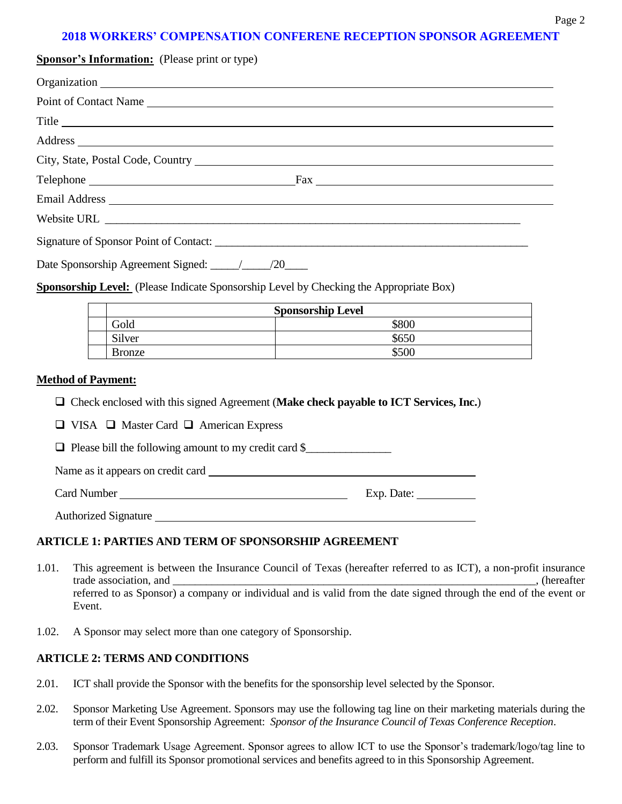# **2018 WORKERS' COMPENSATION CONFERENE RECEPTION SPONSOR AGREEMENT**

| <b>Sponsor's Information:</b> (Please print or type) |  |  |
|------------------------------------------------------|--|--|
|                                                      |  |  |
| Point of Contact Name                                |  |  |
| Title                                                |  |  |
|                                                      |  |  |
|                                                      |  |  |
|                                                      |  |  |
|                                                      |  |  |
|                                                      |  |  |
|                                                      |  |  |

| Date Sponsorship Agreement Signed: | /20 |
|------------------------------------|-----|
|------------------------------------|-----|

**Sponsorship Level:** (Please Indicate Sponsorship Level by Checking the Appropriate Box)

| <b>Sponsorship Level</b> |       |
|--------------------------|-------|
| Gold                     | \$800 |
| Silver                   | \$650 |
| Bronze                   | \$500 |

#### **Method of Payment:**

- Check enclosed with this signed Agreement (**Make check payable to ICT Services, Inc.**)
- $\Box$  VISA  $\Box$  Master Card  $\Box$  American Express

 $\Box$  Please bill the following amount to my credit card \$

Name as it appears on credit card

Card Number Exp. Date:

Authorized Signature

#### **ARTICLE 1: PARTIES AND TERM OF SPONSORSHIP AGREEMENT**

- 1.01. This agreement is between the Insurance Council of Texas (hereafter referred to as ICT), a non-profit insurance trade association, and  $\blacksquare$ referred to as Sponsor) a company or individual and is valid from the date signed through the end of the event or Event.
- 1.02. A Sponsor may select more than one category of Sponsorship.

#### **ARTICLE 2: TERMS AND CONDITIONS**

- 2.01. ICT shall provide the Sponsor with the benefits for the sponsorship level selected by the Sponsor.
- 2.02. Sponsor Marketing Use Agreement. Sponsors may use the following tag line on their marketing materials during the term of their Event Sponsorship Agreement: *Sponsor of the Insurance Council of Texas Conference Reception*.
- 2.03. Sponsor Trademark Usage Agreement. Sponsor agrees to allow ICT to use the Sponsor's trademark/logo/tag line to perform and fulfill its Sponsor promotional services and benefits agreed to in this Sponsorship Agreement.

Page 2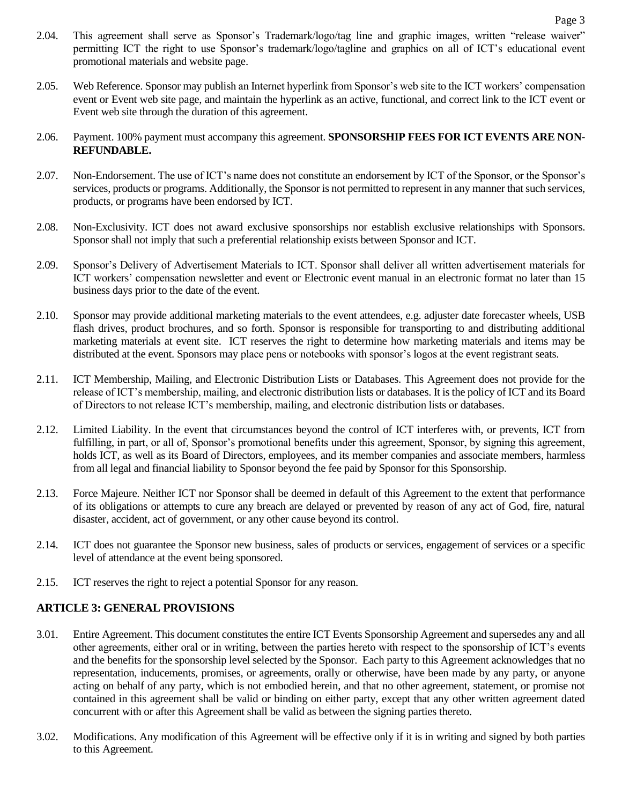- 2.04. This agreement shall serve as Sponsor's Trademark/logo/tag line and graphic images, written "release waiver" permitting ICT the right to use Sponsor's trademark/logo/tagline and graphics on all of ICT's educational event promotional materials and website page.
- 2.05. Web Reference. Sponsor may publish an Internet hyperlink from Sponsor's web site to the ICT workers' compensation event or Event web site page, and maintain the hyperlink as an active, functional, and correct link to the ICT event or Event web site through the duration of this agreement.
- 2.06. Payment. 100% payment must accompany this agreement. **SPONSORSHIP FEES FOR ICT EVENTS ARE NON-REFUNDABLE.**
- 2.07. Non-Endorsement. The use of ICT's name does not constitute an endorsement by ICT of the Sponsor, or the Sponsor's services, products or programs. Additionally, the Sponsor is not permitted to represent in any manner that such services, products, or programs have been endorsed by ICT.
- 2.08. Non-Exclusivity. ICT does not award exclusive sponsorships nor establish exclusive relationships with Sponsors. Sponsor shall not imply that such a preferential relationship exists between Sponsor and ICT.
- 2.09. Sponsor's Delivery of Advertisement Materials to ICT. Sponsor shall deliver all written advertisement materials for ICT workers' compensation newsletter and event or Electronic event manual in an electronic format no later than 15 business days prior to the date of the event.
- 2.10. Sponsor may provide additional marketing materials to the event attendees, e.g. adjuster date forecaster wheels, USB flash drives, product brochures, and so forth. Sponsor is responsible for transporting to and distributing additional marketing materials at event site. ICT reserves the right to determine how marketing materials and items may be distributed at the event. Sponsors may place pens or notebooks with sponsor's logos at the event registrant seats.
- 2.11. ICT Membership, Mailing, and Electronic Distribution Lists or Databases. This Agreement does not provide for the release of ICT's membership, mailing, and electronic distribution lists or databases. It is the policy of ICT and its Board of Directors to not release ICT's membership, mailing, and electronic distribution lists or databases.
- 2.12. Limited Liability. In the event that circumstances beyond the control of ICT interferes with, or prevents, ICT from fulfilling, in part, or all of, Sponsor's promotional benefits under this agreement, Sponsor, by signing this agreement, holds ICT, as well as its Board of Directors, employees, and its member companies and associate members, harmless from all legal and financial liability to Sponsor beyond the fee paid by Sponsor for this Sponsorship.
- 2.13. Force Majeure. Neither ICT nor Sponsor shall be deemed in default of this Agreement to the extent that performance of its obligations or attempts to cure any breach are delayed or prevented by reason of any act of God, fire, natural disaster, accident, act of government, or any other cause beyond its control.
- 2.14. ICT does not guarantee the Sponsor new business, sales of products or services, engagement of services or a specific level of attendance at the event being sponsored.
- 2.15. ICT reserves the right to reject a potential Sponsor for any reason.

### **ARTICLE 3: GENERAL PROVISIONS**

- 3.01. Entire Agreement. This document constitutes the entire ICT Events Sponsorship Agreement and supersedes any and all other agreements, either oral or in writing, between the parties hereto with respect to the sponsorship of ICT's events and the benefits for the sponsorship level selected by the Sponsor. Each party to this Agreement acknowledges that no representation, inducements, promises, or agreements, orally or otherwise, have been made by any party, or anyone acting on behalf of any party, which is not embodied herein, and that no other agreement, statement, or promise not contained in this agreement shall be valid or binding on either party, except that any other written agreement dated concurrent with or after this Agreement shall be valid as between the signing parties thereto.
- 3.02. Modifications. Any modification of this Agreement will be effective only if it is in writing and signed by both parties to this Agreement.